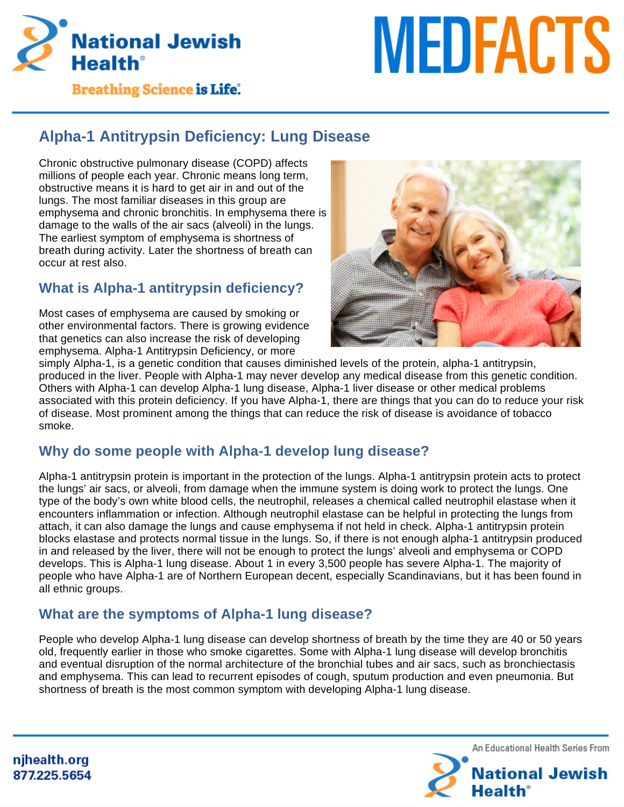

# **MEDFACTS**

**Breathing Science is Life.** 

# **Alpha-1 Antitrypsin Deficiency: Lung Disease**

Chronic obstructive pulmonary disease (COPD) affects millions of people each year. Chronic means long term, obstructive means it is hard to get air in and out of the lungs. The most familiar diseases in this group are emphysema and chronic bronchitis. In emphysema there is damage to the walls of the air sacs (alveoli) in the lungs. The earliest symptom of emphysema is shortness of breath during activity. Later the shortness of breath can occur at rest also.

# **What is Alpha-1 antitrypsin deficiency?**

Most cases of emphysema are caused by smoking or other environmental factors. There is growing evidence that genetics can also increase the risk of developing emphysema. Alpha-1 Antitrypsin Deficiency, or more



simply Alpha-1, is a genetic condition that causes diminished levels of the protein, alpha-1 antitrypsin, produced in the liver. People with Alpha-1 may never develop any medical disease from this genetic condition. Others with Alpha-1 can develop Alpha-1 lung disease, Alpha-1 liver disease or other medical problems associated with this protein deficiency. If you have Alpha-1, there are things that you can do to reduce your risk of disease. Most prominent among the things that can reduce the risk of disease is avoidance of tobacco smoke.

# **Why do some people with Alpha-1 develop lung disease?**

Alpha-1 antitrypsin protein is important in the protection of the lungs. Alpha-1 antitrypsin protein acts to protect the lungs' air sacs, or alveoli, from damage when the immune system is doing work to protect the lungs. One type of the body's own white blood cells, the neutrophil, releases a chemical called neutrophil elastase when it encounters inflammation or infection. Although neutrophil elastase can be helpful in protecting the lungs from attach, it can also damage the lungs and cause emphysema if not held in check. Alpha-1 antitrypsin protein blocks elastase and protects normal tissue in the lungs. So, if there is not enough alpha-1 antitrypsin produced in and released by the liver, there will not be enough to protect the lungs' alveoli and emphysema or COPD develops. This is Alpha-1 lung disease. About 1 in every 3,500 people has severe Alpha-1. The majority of people who have Alpha-1 are of Northern European decent, especially Scandinavians, but it has been found in all ethnic groups.

# **What are the symptoms of Alpha-1 lung disease?**

People who develop Alpha-1 lung disease can develop shortness of breath by the time they are 40 or 50 years old, frequently earlier in those who smoke cigarettes. Some with Alpha-1 lung disease will develop bronchitis and eventual disruption of the normal architecture of the bronchial tubes and air sacs, such as bronchiectasis and emphysema. This can lead to recurrent episodes of cough, sputum production and even pneumonia. But shortness of breath is the most common symptom with developing Alpha-1 lung disease.

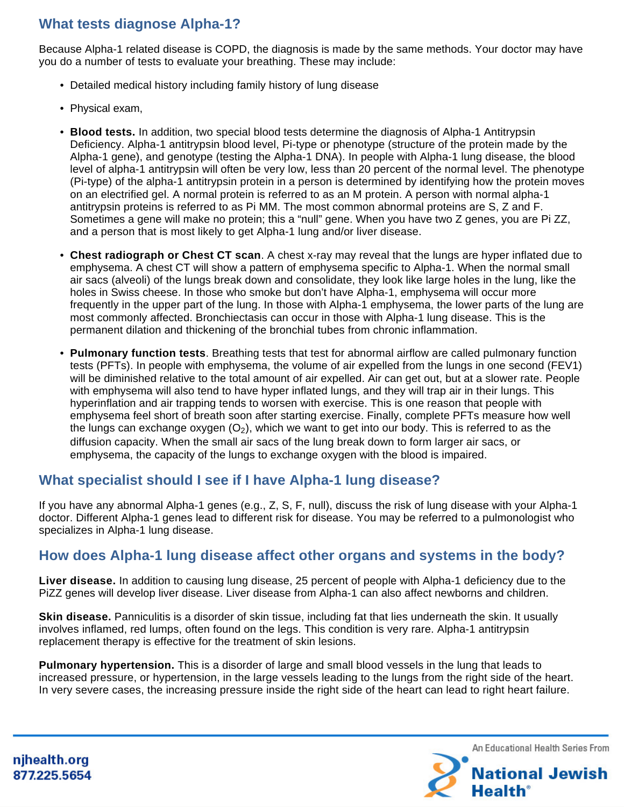## **What tests diagnose Alpha-1?**

Because Alpha-1 related disease is COPD, the diagnosis is made by the same methods. Your doctor may have you do a number of tests to evaluate your breathing. These may include:

- Detailed medical history including family history of lung disease
- Physical exam,
- **Blood tests.** In addition, two special blood tests determine the diagnosis of Alpha-1 Antitrypsin Deficiency. Alpha-1 antitrypsin blood level, Pi-type or phenotype (structure of the protein made by the Alpha-1 gene), and genotype (testing the Alpha-1 DNA). In people with Alpha-1 lung disease, the blood level of alpha-1 antitrypsin will often be very low, less than 20 percent of the normal level. The phenotype (Pi-type) of the alpha-1 antitrypsin protein in a person is determined by identifying how the protein moves on an electrified gel. A normal protein is referred to as an M protein. A person with normal alpha-1 antitrypsin proteins is referred to as Pi MM. The most common abnormal proteins are S, Z and F. Sometimes a gene will make no protein; this a "null" gene. When you have two Z genes, you are Pi ZZ, and a person that is most likely to get Alpha-1 lung and/or liver disease.
- **Chest radiograph or Chest CT scan**. A chest x-ray may reveal that the lungs are hyper inflated due to emphysema. A chest CT will show a pattern of emphysema specific to Alpha-1. When the normal small air sacs (alveoli) of the lungs break down and consolidate, they look like large holes in the lung, like the holes in Swiss cheese. In those who smoke but don't have Alpha-1, emphysema will occur more frequently in the upper part of the lung. In those with Alpha-1 emphysema, the lower parts of the lung are most commonly affected. Bronchiectasis can occur in those with Alpha-1 lung disease. This is the permanent dilation and thickening of the bronchial tubes from chronic inflammation.
- **Pulmonary function tests**. Breathing tests that test for abnormal airflow are called pulmonary function tests (PFTs). In people with emphysema, the volume of air expelled from the lungs in one second (FEV1) will be diminished relative to the total amount of air expelled. Air can get out, but at a slower rate. People with emphysema will also tend to have hyper inflated lungs, and they will trap air in their lungs. This hyperinflation and air trapping tends to worsen with exercise. This is one reason that people with emphysema feel short of breath soon after starting exercise. Finally, complete PFTs measure how well the lungs can exchange oxygen  $(O_2)$ , which we want to get into our body. This is referred to as the diffusion capacity. When the small air sacs of the lung break down to form larger air sacs, or emphysema, the capacity of the lungs to exchange oxygen with the blood is impaired.

### **What specialist should I see if I have Alpha-1 lung disease?**

If you have any abnormal Alpha-1 genes (e.g., Z, S, F, null), discuss the risk of lung disease with your Alpha-1 doctor. Different Alpha-1 genes lead to different risk for disease. You may be referred to a pulmonologist who specializes in Alpha-1 lung disease.

### **How does Alpha-1 lung disease affect other organs and systems in the body?**

**Liver disease.** In addition to causing lung disease, 25 percent of people with Alpha-1 deficiency due to the PiZZ genes will develop liver disease. Liver disease from Alpha-1 can also affect newborns and children.

**Skin disease.** Panniculitis is a disorder of skin tissue, including fat that lies underneath the skin. It usually involves inflamed, red lumps, often found on the legs. This condition is very rare. Alpha-1 antitrypsin replacement therapy is effective for the treatment of skin lesions.

**Pulmonary hypertension.** This is a disorder of large and small blood vessels in the lung that leads to increased pressure, or hypertension, in the large vessels leading to the lungs from the right side of the heart. In very severe cases, the increasing pressure inside the right side of the heart can lead to right heart failure.

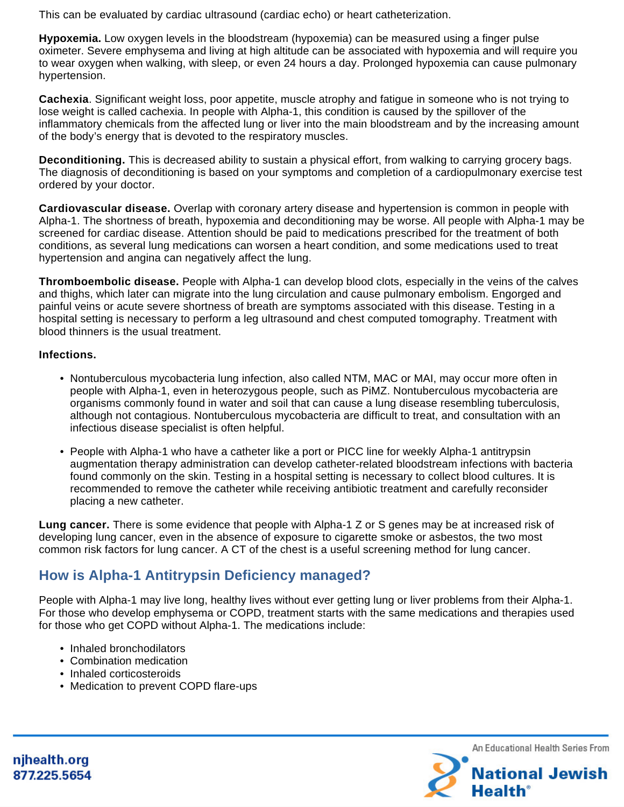This can be evaluated by cardiac ultrasound (cardiac echo) or heart catheterization.

**Hypoxemia.** Low oxygen levels in the bloodstream (hypoxemia) can be measured using a finger pulse oximeter. Severe emphysema and living at high altitude can be associated with hypoxemia and will require you to wear oxygen when walking, with sleep, or even 24 hours a day. Prolonged hypoxemia can cause pulmonary hypertension.

**Cachexia**. Significant weight loss, poor appetite, muscle atrophy and fatigue in someone who is not trying to lose weight is called cachexia. In people with Alpha-1, this condition is caused by the spillover of the inflammatory chemicals from the affected lung or liver into the main bloodstream and by the increasing amount of the body's energy that is devoted to the respiratory muscles.

**Deconditioning.** This is decreased ability to sustain a physical effort, from walking to carrying grocery bags. The diagnosis of deconditioning is based on your symptoms and completion of a cardiopulmonary exercise test ordered by your doctor.

**Cardiovascular disease.** Overlap with coronary artery disease and hypertension is common in people with Alpha-1. The shortness of breath, hypoxemia and deconditioning may be worse. All people with Alpha-1 may be screened for cardiac disease. Attention should be paid to medications prescribed for the treatment of both conditions, as several lung medications can worsen a heart condition, and some medications used to treat hypertension and angina can negatively affect the lung.

**Thromboembolic disease.** People with Alpha-1 can develop blood clots, especially in the veins of the calves and thighs, which later can migrate into the lung circulation and cause pulmonary embolism. Engorged and painful veins or acute severe shortness of breath are symptoms associated with this disease. Testing in a hospital setting is necessary to perform a leg ultrasound and chest computed tomography. Treatment with blood thinners is the usual treatment.

### **Infections.**

- Nontuberculous mycobacteria lung infection, also called NTM, MAC or MAI, may occur more often in people with Alpha-1, even in heterozygous people, such as PiMZ. Nontuberculous mycobacteria are organisms commonly found in water and soil that can cause a lung disease resembling tuberculosis, although not contagious. Nontuberculous mycobacteria are difficult to treat, and consultation with an infectious disease specialist is often helpful.
- People with Alpha-1 who have a catheter like a port or PICC line for weekly Alpha-1 antitrypsin augmentation therapy administration can develop catheter-related bloodstream infections with bacteria found commonly on the skin. Testing in a hospital setting is necessary to collect blood cultures. It is recommended to remove the catheter while receiving antibiotic treatment and carefully reconsider placing a new catheter.

**Lung cancer.** There is some evidence that people with Alpha-1 Z or S genes may be at increased risk of developing lung cancer, even in the absence of exposure to cigarette smoke or asbestos, the two most common risk factors for lung cancer. A CT of the chest is a useful screening method for lung cancer.

# **How is Alpha-1 Antitrypsin Deficiency managed?**

People with Alpha-1 may live long, healthy lives without ever getting lung or liver problems from their Alpha-1. For those who develop emphysema or COPD, treatment starts with the same medications and therapies used for those who get COPD without Alpha-1. The medications include:

- Inhaled bronchodilators
- Combination medication
- Inhaled corticosteroids
- Medication to prevent COPD flare-ups

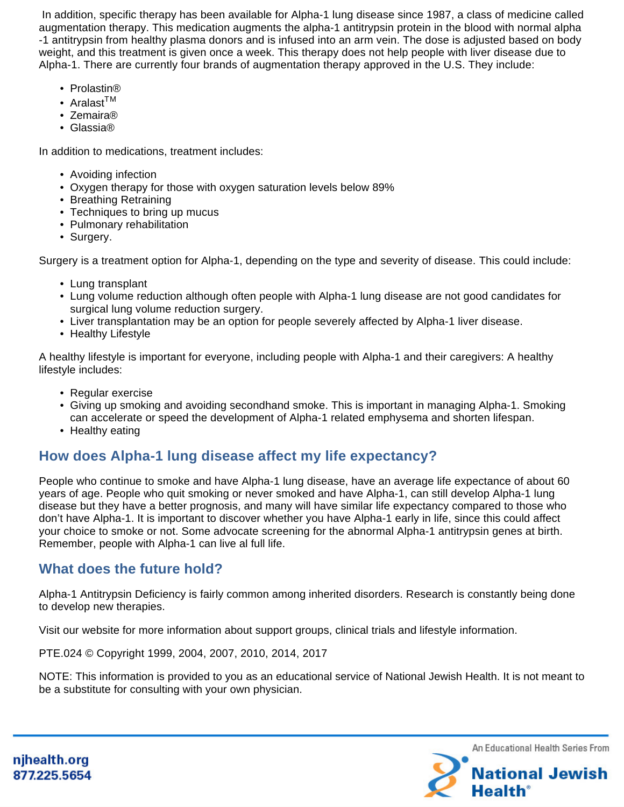In addition, specific therapy has been available for Alpha-1 lung disease since 1987, a class of medicine called augmentation therapy. This medication augments the alpha-1 antitrypsin protein in the blood with normal alpha -1 antitrypsin from healthy plasma donors and is infused into an arm vein. The dose is adjusted based on body weight, and this treatment is given once a week. This therapy does not help people with liver disease due to Alpha-1. There are currently four brands of augmentation therapy approved in the U.S. They include:

- Prolastin®
- Aralast<sup>TM</sup>
- Zemaira®
- Glassia®

In addition to medications, treatment includes:

- Avoiding infection
- Oxygen therapy for those with oxygen saturation levels below 89%
- Breathing Retraining
- Techniques to bring up mucus
- Pulmonary rehabilitation
- Surgery.

Surgery is a treatment option for Alpha-1, depending on the type and severity of disease. This could include:

- Lung transplant
- Lung volume reduction although often people with Alpha-1 lung disease are not good candidates for surgical lung volume reduction surgery.
- Liver transplantation may be an option for people severely affected by Alpha-1 liver disease.
- Healthy Lifestyle

A healthy lifestyle is important for everyone, including people with Alpha-1 and their caregivers: A healthy lifestyle includes:

- Regular exercise
- Giving up smoking and avoiding secondhand smoke. This is important in managing Alpha-1. Smoking can accelerate or speed the development of Alpha-1 related emphysema and shorten lifespan.
- Healthy eating

### **How does Alpha-1 lung disease affect my life expectancy?**

People who continue to smoke and have Alpha-1 lung disease, have an average life expectance of about 60 years of age. People who quit smoking or never smoked and have Alpha-1, can still develop Alpha-1 lung disease but they have a better prognosis, and many will have similar life expectancy compared to those who don't have Alpha-1. It is important to discover whether you have Alpha-1 early in life, since this could affect your choice to smoke or not. Some advocate screening for the abnormal Alpha-1 antitrypsin genes at birth. Remember, people with Alpha-1 can live al full life.

### **What does the future hold?**

Alpha-1 Antitrypsin Deficiency is fairly common among inherited disorders. Research is constantly being done to develop new therapies.

Visit our website for more information about support groups, clinical trials and lifestyle information.

PTE.024 © Copyright 1999, 2004, 2007, 2010, 2014, 2017

NOTE: This information is provided to you as an educational service of National Jewish Health. It is not meant to be a substitute for consulting with your own physician.